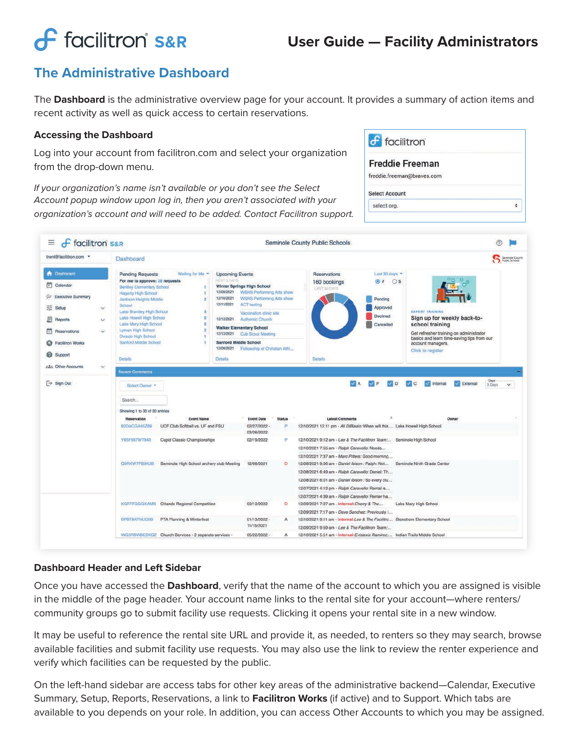# **f** facilitron S&R

# **User Guide — Facility Administrators**

 $f$  facilitron

Select Account

select org.

**Freddie Freeman** freddie.freeman@braves.com

 $\bullet$ 

# **The Administrative Dashboard**

The **Dashboard** is the administrative overview page for your account. It provides a summary of action items and recent activity as well as quick access to certain reservations.

#### **Accessing the Dashboard**

Log into your account from facilitron.com and select your organization from the drop-down menu.

*If your organization's name isn't available or you don't see the Select Account popup window upon log in, then you aren't associated with your organization's account and will need to be added. Contact Facilitron support.*

| <b>f</b> facilitron S&R<br>≡         |                                                                         | Seminole County Public Schools                                  |                                                  |                                                                            |                              |                                                                                                                                   |                                                       |                                                                                                            |              |
|--------------------------------------|-------------------------------------------------------------------------|-----------------------------------------------------------------|--------------------------------------------------|----------------------------------------------------------------------------|------------------------------|-----------------------------------------------------------------------------------------------------------------------------------|-------------------------------------------------------|------------------------------------------------------------------------------------------------------------|--------------|
| trent@facilitron.com -               | <b>Dashboard</b>                                                        |                                                                 |                                                  |                                                                            |                              |                                                                                                                                   |                                                       | Seminale County<br>Public Schools                                                                          |              |
| <b>R</b> Dashboard                   | <b>Pending Requests</b>                                                 | Waiting for Me -                                                | <b>Upcoming Events</b>                           |                                                                            |                              | <b>Reservations</b>                                                                                                               | Last 30 days                                          |                                                                                                            |              |
| п<br>Calendar                        | For me to approve: 28 requests<br><b>Bentley Elementary School</b><br>1 |                                                                 | NEXT 3 DAYS<br><b>Winter Springs High School</b> |                                                                            | 160 bookings<br>LAST 30 DAYS | $01$ Os                                                                                                                           |                                                       |                                                                                                            |              |
| X Executive Summary                  | <b>Hagerty High School</b><br>Jackson Heights Middle                    | $\overline{2}$                                                  | 12/09/2021<br>12/10/2021                         | <b>WSHS Performing Arts show</b><br><b>WSHS Performing Arts show</b>       |                              |                                                                                                                                   | Pending                                               |                                                                                                            |              |
| 포<br>Setup<br>M.                     | School                                                                  |                                                                 | 12/11/2021<br><b>ACT testing</b>                 |                                                                            |                              | Approved<br>Declined                                                                                                              | <b>EXPERT TRAINING</b><br>Sign up for weekly back-to- |                                                                                                            |              |
| <b>Reports</b><br>$\mathcal{L}$      |                                                                         | Lake Brantley High School<br>S.<br>Lake Howell High School<br>6 |                                                  | Vaccination clinic site<br>12/12/2021<br>Authentic Church                  |                              |                                                                                                                                   |                                                       |                                                                                                            |              |
| $\mathbf{v}$                         | Lake Mary High School<br>$\overline{2}$<br>Lyman High School            |                                                                 | <b>Walker Elementary School</b>                  |                                                                            |                              |                                                                                                                                   | Cancelled                                             | school training                                                                                            |              |
| Reservations<br>M                    | Oviedo High School                                                      |                                                                 | 12/13/2021<br><b>Cub Scout Meeting</b>           |                                                                            |                              |                                                                                                                                   |                                                       | Get refresher training on administrator<br>basics and learn time-saving tips from our<br>account managers. |              |
| <b>Facilitron Works</b><br>ຶ         |                                                                         | Sanford Middle School                                           |                                                  | <b>Sanford Middle School</b><br>12/09/2021<br>Fellowship of Christian Athl |                              |                                                                                                                                   |                                                       |                                                                                                            |              |
| Support                              | Details                                                                 |                                                                 |                                                  | <b>Details</b>                                                             |                              | Details                                                                                                                           |                                                       | Click to register                                                                                          |              |
| <b>2.51 Other Accounts</b><br>$\vee$ |                                                                         |                                                                 |                                                  |                                                                            |                              |                                                                                                                                   |                                                       |                                                                                                            |              |
|                                      | Seinct Owner                                                            |                                                                 |                                                  |                                                                            |                              |                                                                                                                                   |                                                       | Days:<br>$\frac{1}{2}$ Internal<br>$\leq$ External<br>3 Days                                               | $\checkmark$ |
|                                      | Search                                                                  |                                                                 |                                                  |                                                                            |                              |                                                                                                                                   |                                                       |                                                                                                            |              |
|                                      | Showing 1 to 30 of 30 entries                                           |                                                                 |                                                  |                                                                            |                              |                                                                                                                                   |                                                       |                                                                                                            |              |
|                                      | Reservation                                                             | <b>Event Name</b>                                               |                                                  | <b>Event Date</b>                                                          | <b>Status</b>                | <b>Latest Comments</b>                                                                                                            |                                                       | Owner                                                                                                      |              |
|                                      | 93DACGA45Z69                                                            | UCF Club Softball vs. UF and FSU                                |                                                  | 02/27/2022 -<br>03/26/2022                                                 | ø                            | 12/10/2021 12:11 pm - Ali DiBlasio: When will this Lake Howell High School                                                        |                                                       |                                                                                                            |              |
|                                      | Y85F587WT843                                                            | Cupid Classic Championships                                     |                                                  | 02/19/2022                                                                 | P.                           | 12/10/2021 9:12 am - Lee & The Facilitron Team: Seminole High School                                                              |                                                       |                                                                                                            |              |
|                                      |                                                                         |                                                                 |                                                  |                                                                            |                              | 12/10/2021 7:55 am - Ralph Caravello: Needs                                                                                       |                                                       |                                                                                                            |              |
|                                      |                                                                         |                                                                 |                                                  |                                                                            |                              | 12/10/2021 7:37 am - Marc Pitters: Good morning                                                                                   |                                                       |                                                                                                            |              |
|                                      | Q9RXW7PB9KJB                                                            | Seminole High School archery club Meeting                       |                                                  | 12/08/2021                                                                 | D                            | 12/08/2021 9:06 am - Daniel Ibison : Ralph: Not<br>12/08/2021 6:49 am - Ralph Caravello: Daniel: Th                               |                                                       | Seminole Ninth Grade Center                                                                                |              |
|                                      |                                                                         |                                                                 |                                                  |                                                                            |                              | 12/08/2021 6:01 am - Daniel Ibison : So every clu                                                                                 |                                                       |                                                                                                            |              |
|                                      |                                                                         |                                                                 |                                                  |                                                                            |                              | 12/07/2021 4:12 pm - Ralph Caravello: Rental is                                                                                   |                                                       |                                                                                                            |              |
|                                      |                                                                         |                                                                 |                                                  |                                                                            |                              | 12/07/2021 4:39 am - Ralph Caravello: Renter ha                                                                                   |                                                       |                                                                                                            |              |
|                                      | <b>KGFFFGGGXAMN</b>                                                     | Orlando Regional Competition                                    |                                                  | 02/12/2022                                                                 | D                            | 12/09/2021 7:27 am - Internal: Cherry & The                                                                                       |                                                       | Lake Mary High School                                                                                      |              |
|                                      |                                                                         |                                                                 |                                                  |                                                                            |                              | 12/09/2021 7:17 am - Dave Sanchez: Previously I                                                                                   |                                                       |                                                                                                            |              |
|                                      | BPBT8ATNUC6B                                                            | PTA Planning & Winterfest                                       |                                                  | 01/13/2022 -<br>11/15/2021                                                 | A                            | 12/10/2021 9:11 am - Internal: Lee & The Facilitro Stenstrom Elementary School<br>12/09/2021 9:59 am - Lee & The Facilitron Team: |                                                       |                                                                                                            |              |

## **Dashboard Header and Left Sidebar**

Once you have accessed the **Dashboard**, verify that the name of the account to which you are assigned is visible in the middle of the page header. Your account name links to the rental site for your account—where renters/ community groups go to submit facility use requests. Clicking it opens your rental site in a new window.

It may be useful to reference the rental site URL and provide it, as needed, to renters so they may search, browse available facilities and submit facility use requests. You may also use the link to review the renter experience and verify which facilities can be requested by the public.

On the left-hand sidebar are access tabs for other key areas of the administrative backend—Calendar, Executive Summary, Setup, Reports, Reservations, a link to **Facilitron Works** (if active) and to Support. Which tabs are available to you depends on your role. In addition, you can access Other Accounts to which you may be assigned.